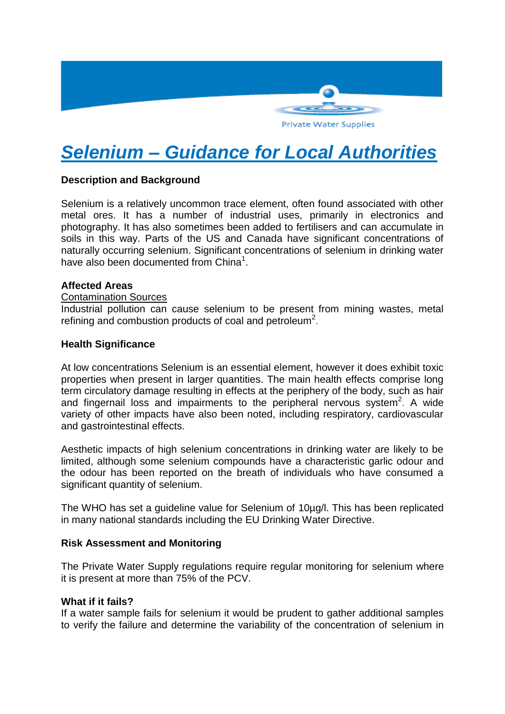

# *Selenium – Guidance for Local Authorities*

# **Description and Background**

Selenium is a relatively uncommon trace element, often found associated with other metal ores. It has a number of industrial uses, primarily in electronics and photography. It has also sometimes been added to fertilisers and can accumulate in soils in this way. Parts of the US and Canada have significant concentrations of naturally occurring selenium. Significant concentrations of selenium in drinking water have also been documented from China<sup>1</sup>.

## **Affected Areas**

#### Contamination Sources

Industrial pollution can cause selenium to be present from mining wastes, metal refining and combustion products of coal and petroleum<sup>2</sup>.

## **Health Significance**

At low concentrations Selenium is an essential element, however it does exhibit toxic properties when present in larger quantities. The main health effects comprise long term circulatory damage resulting in effects at the periphery of the body, such as hair and fingernail loss and impairments to the peripheral nervous system<sup>2</sup>. A wide variety of other impacts have also been noted, including respiratory, cardiovascular and gastrointestinal effects.

Aesthetic impacts of high selenium concentrations in drinking water are likely to be limited, although some selenium compounds have a characteristic garlic odour and the odour has been reported on the breath of individuals who have consumed a significant quantity of selenium.

The WHO has set a guideline value for Selenium of 10µg/l. This has been replicated in many national standards including the EU Drinking Water Directive.

#### **Risk Assessment and Monitoring**

The Private Water Supply regulations require regular monitoring for selenium where it is present at more than 75% of the PCV.

#### **What if it fails?**

If a water sample fails for selenium it would be prudent to gather additional samples to verify the failure and determine the variability of the concentration of selenium in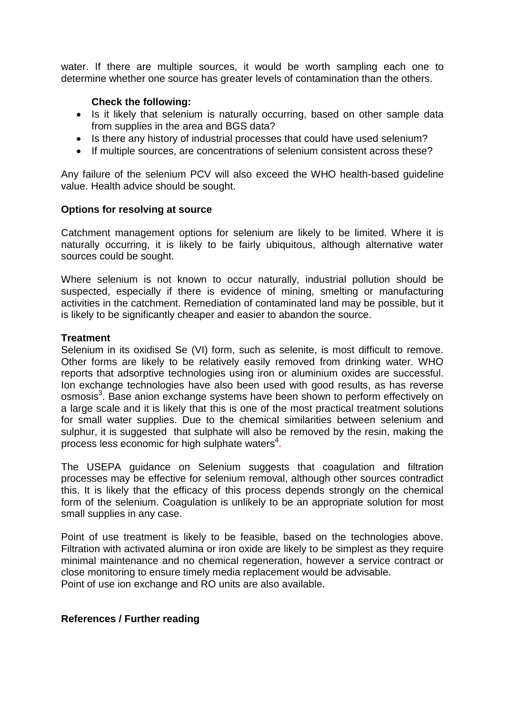water. If there are multiple sources, it would be worth sampling each one to determine whether one source has greater levels of contamination than the others.

# **Check the following:**

- Is it likely that selenium is naturally occurring, based on other sample data from supplies in the area and BGS data?
- Is there any history of industrial processes that could have used selenium?
- If multiple sources, are concentrations of selenium consistent across these?

Any failure of the selenium PCV will also exceed the WHO health-based guideline value. Health advice should be sought.

## **Options for resolving at source**

Catchment management options for selenium are likely to be limited. Where it is naturally occurring, it is likely to be fairly ubiquitous, although alternative water sources could be sought.

Where selenium is not known to occur naturally, industrial pollution should be suspected, especially if there is evidence of mining, smelting or manufacturing activities in the catchment. Remediation of contaminated land may be possible, but it is likely to be significantly cheaper and easier to abandon the source.

## **Treatment**

Selenium in its oxidised Se (VI) form, such as selenite, is most difficult to remove. Other forms are likely to be relatively easily removed from drinking water. WHO reports that adsorptive technologies using iron or aluminium oxides are successful. Ion exchange technologies have also been used with good results, as has reverse osmosis<sup>3</sup>. Base anion exchange systems have been shown to perform effectively on a large scale and it is likely that this is one of the most practical treatment solutions for small water supplies. Due to the chemical similarities between selenium and sulphur, it is suggested that sulphate will also be removed by the resin, making the process less economic for high sulphate waters $4$ .

The USEPA guidance on Selenium suggests that coagulation and filtration processes may be effective for selenium removal, although other sources contradict this. It is likely that the efficacy of this process depends strongly on the chemical form of the selenium. Coagulation is unlikely to be an appropriate solution for most small supplies in any case.

Point of use treatment is likely to be feasible, based on the technologies above. Filtration with activated alumina or iron oxide are likely to be simplest as they require minimal maintenance and no chemical regeneration, however a service contract or close monitoring to ensure timely media replacement would be advisable. Point of use ion exchange and RO units are also available.

# **References / Further reading**